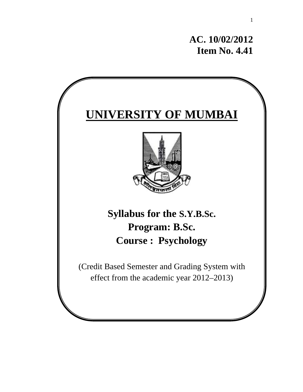**AC. 10/02/2012 Item No. 4.41** 

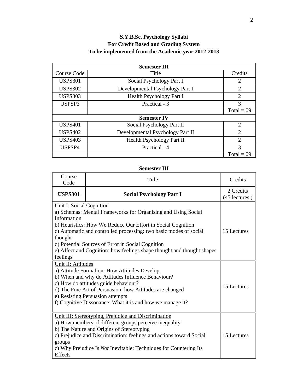# **S.Y.B.Sc. Psychology Syllabi For Credit Based and Grading System To be implemented from the Academic year 2012-2013**

| <b>Semester III</b> |                                  |                |  |  |
|---------------------|----------------------------------|----------------|--|--|
| Course Code         | Title                            | Credits        |  |  |
| <b>USPS301</b>      | Social Psychology Part I         | 2              |  |  |
| <b>USPS302</b>      | Developmental Psychology Part I  | $\overline{2}$ |  |  |
| <b>USPS303</b>      | Health Psychology Part I         | $\overline{2}$ |  |  |
| USPSP3              | 3                                |                |  |  |
|                     |                                  | $Total = 09$   |  |  |
|                     | <b>Semester IV</b>               |                |  |  |
| <b>USPS401</b>      | Social Psychology Part II        | $\overline{2}$ |  |  |
| <b>USPS402</b>      | Developmental Psychology Part II | $\overline{2}$ |  |  |
| <b>USPS403</b>      | Health Psychology Part II        | $\overline{2}$ |  |  |
| USPSP4              | Practical - 4                    | 3              |  |  |
|                     |                                  | $Total = 09$   |  |  |

**Semester III** 

| Course<br>Code                                                                                                                                                                                                                                                                                                                                                                                            | Title                                                                                                                                                                                                                                                                                                          | Credits                    |
|-----------------------------------------------------------------------------------------------------------------------------------------------------------------------------------------------------------------------------------------------------------------------------------------------------------------------------------------------------------------------------------------------------------|----------------------------------------------------------------------------------------------------------------------------------------------------------------------------------------------------------------------------------------------------------------------------------------------------------------|----------------------------|
| <b>USPS301</b>                                                                                                                                                                                                                                                                                                                                                                                            | <b>Social Psychology Part I</b>                                                                                                                                                                                                                                                                                | 2 Credits<br>(45 lectures) |
| <b>Unit I: Social Cognition</b><br>a) Schemas: Mental Frameworks for Organising and Using Social<br>Information<br>b) Heuristics: How We Reduce Our Effort in Social Cognition<br>c) Automatic and controlled processing: two basic modes of social<br>thought<br>d) Potential Sources of Error in Social Cognition<br>e) Affect and Cognition: how feelings shape thought and thought shapes<br>feelings | 15 Lectures                                                                                                                                                                                                                                                                                                    |                            |
| Unit II: Attitudes<br>a) Attitude Formation: How Attitudes Develop<br>b) When and why do Attitudes Influence Behaviour?<br>c) How do attitudes guide behaviour?<br>d) The Fine Art of Persuasion: how Attitudes are changed<br>e) Resisting Persuasion attempts<br>f) Cognitive Dissonance: What it is and how we manage it?                                                                              | 15 Lectures                                                                                                                                                                                                                                                                                                    |                            |
| groups<br>Effects                                                                                                                                                                                                                                                                                                                                                                                         | Unit III: Stereotyping, Prejudice and Discrimination<br>a) How members of different groups perceive inequality<br>b) The Nature and Origins of Stereotyping<br>c) Prejudice and Discrimination: feelings and actions toward Social<br>c) Why Prejudice Is <i>Not</i> Inevitable: Techniques for Countering Its | 15 Lectures                |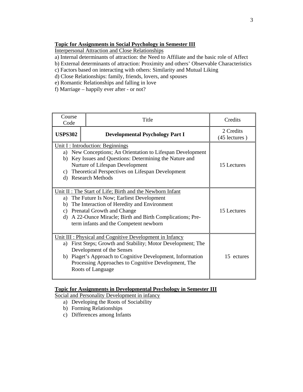# **Topic for Assignments in Social Psychology in Semester III**

Interpersonal Attraction and Close Relationships

- a) Internal determinants of attraction: the Need to Affiliate and the basic role of Affect
- b) External determinants of attraction: Proximity and others' Observable Characteristics
- c) Factors based on interacting with others: Similarity and Mutual Liking
- d) Close Relationships: family, friends, lovers, and spouses
- e) Romantic Relationships and falling in love
- f) Marriage happily ever after or not?

| Course<br>Code                                                                                                                                                                                                                                                                                                       | Title                                  | Credits                    |
|----------------------------------------------------------------------------------------------------------------------------------------------------------------------------------------------------------------------------------------------------------------------------------------------------------------------|----------------------------------------|----------------------------|
| <b>USPS302</b>                                                                                                                                                                                                                                                                                                       | <b>Developmental Psychology Part I</b> | 2 Credits<br>(45 lectures) |
| Unit I : Introduction: Beginnings<br>a) New Conceptions; An Orientation to Lifespan Development<br>b) Key Issues and Questions: Determining the Nature and<br>Nurture of Lifespan Development<br>Theoretical Perspectives on Lifespan Development<br>C)<br><b>Research Methods</b><br>d)                             | 15 Lectures                            |                            |
| Unit II: The Start of Life; Birth and the Newborn Infant<br>The Future Is Now; Earliest Development<br>a)<br>The Interaction of Heredity and Environment<br>b)<br><b>Prenatal Growth and Change</b><br>C)<br>A 22-Ounce Miracle; Birth and Birth Complications; Pre-<br>d)<br>term infants and the Competent newborn | 15 Lectures                            |                            |
| Unit III : Physical and Cognitive Development in Infancy<br>First Steps; Growth and Stability; Motor Development; The<br>a)<br>Development of the Senses<br>b) Piaget's Approach to Cognitive Development, Information<br>Processing Approaches to Cognitive Development, The<br>Roots of Language                   | 15 ectures                             |                            |

# **Topic for Assignments in Developmental Psychology in Semester III**

Social and Personality Development in infancy

- a) Developing the Roots of Sociability
- b) Forming Relationships
- c) Differences among Infants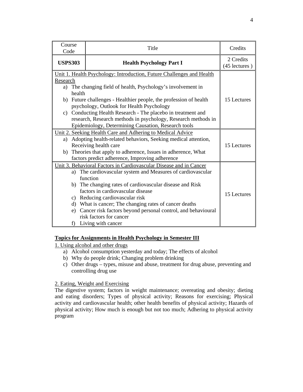| Course<br>Code           | Title                                                                                                                                                                                                                                                                                                                                                                                                                                                           | Credits                    |
|--------------------------|-----------------------------------------------------------------------------------------------------------------------------------------------------------------------------------------------------------------------------------------------------------------------------------------------------------------------------------------------------------------------------------------------------------------------------------------------------------------|----------------------------|
| <b>USPS303</b>           | <b>Health Psychology Part I</b>                                                                                                                                                                                                                                                                                                                                                                                                                                 | 2 Credits<br>(45 lectures) |
| Research<br>a)<br>health | Unit 1. Health Psychology: Introduction, Future Challenges and Health<br>The changing field of health, Psychology's involvement in<br>b) Future challenges - Healthier people, the profession of health<br>psychology, Outlook for Health Psychology<br>c) Conducting Health Research - The placebo in treatment and<br>research, Research methods in psychology, Research methods in<br>Epidemiology, Determining Causation, Research tools                    | 15 Lectures                |
|                          | Unit 2. Seeking Health Care and Adhering to Medical Advice<br>a) Adopting health-related behaviors, Seeking medical attention,<br>Receiving health care<br>b) Theories that apply to adherence, Issues in adherence, What<br>factors predict adherence, Improving adherence                                                                                                                                                                                     | 15 Lectures                |
| e)                       | Unit 3. Behavioral Factors in Cardiovascular Disease and in Cancer<br>a) The cardiovascular system and Measures of cardiovascular<br>function<br>b) The changing rates of cardiovascular disease and Risk<br>factors in cardiovascular disease<br>c) Reducing cardiovascular risk<br>d) What is cancer; The changing rates of cancer deaths<br>Cancer risk factors beyond personal control, and behavioural<br>risk factors for cancer<br>f) Living with cancer | 15 Lectures                |

# **Topics for Assignments in Health Psychology in Semester III**

1. Using alcohol and other drugs

- a) Alcohol consumption yesterday and today; The effects of alcohol
- b) Why do people drink; Changing problem drinking
- c) Other drugs types, misuse and abuse, treatment for drug abuse, preventing and controlling drug use

# 2. Eating, Weight and Exercising

The digestive system; factors in weight maintenance; overeating and obesity; dieting and eating disorders; Types of physical activity; Reasons for exercising; Physical activity and cardiovascular health; other health benefits of physical activity; Hazards of physical activity; How much is enough but not too much; Adhering to physical activity program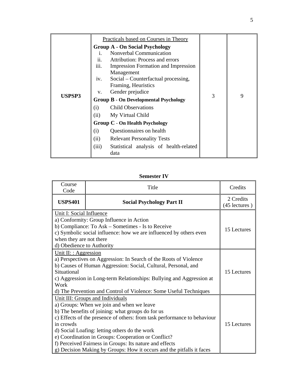|        |       | Practicals based on Courses in Theory          |   |   |
|--------|-------|------------------------------------------------|---|---|
|        |       | <b>Group A - On Social Psychology</b>          |   |   |
|        | Ť.    | Nonverbal Communication                        |   |   |
|        | ii.   | Attribution: Process and errors                |   |   |
|        | iii.  | <b>Impression Formation and Impression</b>     |   |   |
|        |       | Management                                     |   |   |
|        | iv.   | Social – Counterfactual processing,            |   |   |
|        |       | Framing, Heuristics                            |   |   |
|        | V.    | Gender prejudice                               |   | 9 |
| USPSP3 |       | <b>Group B - On Developmental Psychology</b>   | 3 |   |
|        | (i)   | <b>Child Observations</b>                      |   |   |
|        | (ii)  | My Virtual Child                               |   |   |
|        |       | <b>Group C - On Health Psychology</b>          |   |   |
|        | (i)   | Questionnaires on health                       |   |   |
|        | (ii)  | <b>Relevant Personality Tests</b>              |   |   |
|        | (iii) | Statistical analysis of health-related<br>data |   |   |

# **Semester IV**

| Course<br>Code                                                                                                                                                                                                                                                                                                                   | Title                                                                                                                                                                                                                                                                                                                                                                                                                                                      | Credits                    |
|----------------------------------------------------------------------------------------------------------------------------------------------------------------------------------------------------------------------------------------------------------------------------------------------------------------------------------|------------------------------------------------------------------------------------------------------------------------------------------------------------------------------------------------------------------------------------------------------------------------------------------------------------------------------------------------------------------------------------------------------------------------------------------------------------|----------------------------|
| <b>USPS401</b>                                                                                                                                                                                                                                                                                                                   | <b>Social Psychology Part II</b>                                                                                                                                                                                                                                                                                                                                                                                                                           | 2 Credits<br>(45 lectures) |
| Unit I: Social Influence<br>a) Conformity: Group Influence in Action<br>b) Compliance: To Ask – Sometimes - Is to Receive<br>c) Symbolic social influence: how we are influenced by others even<br>when they are not there<br>d) Obedience to Authority                                                                          | 15 Lectures                                                                                                                                                                                                                                                                                                                                                                                                                                                |                            |
| Unit II: : Aggression<br>a) Perspectives on Aggression: In Search of the Roots of Violence<br>b) Causes of Human Aggression: Social, Cultural, Personal, and<br>Situational<br>c) Aggression in Long-term Relationships: Bullying and Aggression at<br>Work<br>d) The Prevention and Control of Violence: Some Useful Techniques | 15 Lectures                                                                                                                                                                                                                                                                                                                                                                                                                                                |                            |
| in crowds                                                                                                                                                                                                                                                                                                                        | Unit III: Groups and Individuals<br>a) Groups: When we join and when we leave<br>b) The benefits of joining: what groups do for us<br>c) Effects of the presence of others: from task performance to behaviour<br>d) Social Loafing: letting others do the work<br>e) Coordination in Groups: Cooperation or Conflict?<br>f) Perceived Fairness in Groups: Its nature and effects<br>g) Decision Making by Groups: How it occurs and the pitfalls it faces | 15 Lectures                |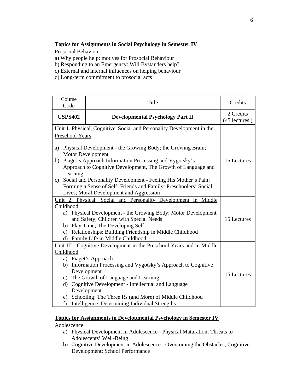# **Topics for Assignments in Social Psychology in Semester IV**

Prosocial Behaviour

- a) Why people help: motives for Prosocial Behaviour
- b) Responding to an Emergency: Will Bystanders help?
- c) External and internal influences on helping behaviour
- d) Long-term commitment to prosocial acts

| Course<br>Code                                                                                                                                                                                                                  | Title                                                                                                    | Credits     |
|---------------------------------------------------------------------------------------------------------------------------------------------------------------------------------------------------------------------------------|----------------------------------------------------------------------------------------------------------|-------------|
| <b>USPS402</b>                                                                                                                                                                                                                  | <b>Developmental Psychology Part II</b>                                                                  |             |
|                                                                                                                                                                                                                                 | Unit 1. Physical, Cognitive, Social and Personality Development in the                                   |             |
| Preschool Years                                                                                                                                                                                                                 |                                                                                                          |             |
| Physical Development - the Growing Body; the Growing Brain;<br>a)<br><b>Motor Development</b><br>Piaget's Approach Information Processing and Vygotsky's<br>b)<br>Approach to Cognitive Development, The Growth of Language and | 15 Lectures                                                                                              |             |
| Learning                                                                                                                                                                                                                        |                                                                                                          |             |
| C)                                                                                                                                                                                                                              | Social and Personality Development - Feeling His Mother's Pain;                                          |             |
|                                                                                                                                                                                                                                 | Forming a Sense of Self; Friends and Family: Preschoolers' Social                                        |             |
|                                                                                                                                                                                                                                 | Lives; Moral Development and Aggression                                                                  |             |
|                                                                                                                                                                                                                                 | Unit 2. Physical, Social and Personality Development in Middle                                           |             |
| Childhood                                                                                                                                                                                                                       |                                                                                                          |             |
|                                                                                                                                                                                                                                 | a) Physical Development - the Growing Body; Motor Development<br>and Safety; Children with Special Needs | 15 Lectures |
|                                                                                                                                                                                                                                 | b) Play Time; The Developing Self                                                                        |             |
|                                                                                                                                                                                                                                 | c) Relationships: Building Friendship in Middle Childhood                                                |             |
|                                                                                                                                                                                                                                 | d) Family Life in Middle Childhood                                                                       |             |
|                                                                                                                                                                                                                                 | Unit III : Cognitive Development in the Preschool Years and in Middle                                    |             |
| Childhood                                                                                                                                                                                                                       |                                                                                                          |             |
|                                                                                                                                                                                                                                 | a) Piaget's Approach                                                                                     |             |
|                                                                                                                                                                                                                                 | b) Information Processing and Vygotsky's Approach to Cognitive                                           |             |
|                                                                                                                                                                                                                                 | Development                                                                                              | 15 Lectures |
|                                                                                                                                                                                                                                 | c) The Growth of Language and Learning                                                                   |             |
|                                                                                                                                                                                                                                 | d) Cognitive Development - Intellectual and Language                                                     |             |
|                                                                                                                                                                                                                                 | Development                                                                                              |             |
|                                                                                                                                                                                                                                 | e) Schooling: The Three Rs (and More) of Middle Childhood                                                |             |
| f)                                                                                                                                                                                                                              | Intelligence: Determining Individual Strengths                                                           |             |

### **Topics for Assignments in Developmental Psychology in Semester IV**

Adolescence

- a) Physical Development in Adolescence Physical Maturation; Threats to Adolescents' Well-Being
- b) Cognitive Development in Adolescence Overcoming the Obstacles; Cognitive Development; School Performance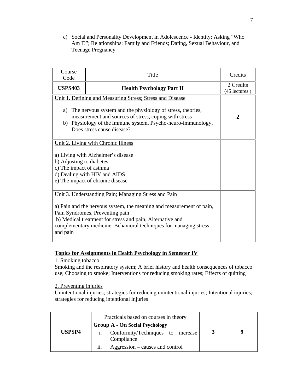c) Social and Personality Development in Adolescence - Identity: Asking "Who Am I?"; Relationships: Family and Friends; Dating, Sexual Behaviour, and Teenage Pregnancy

| Course<br>Code                                                                                                                                                                                                                                                                    | Title                                                                                                                                                                                                                                                                                             | Credits                    |
|-----------------------------------------------------------------------------------------------------------------------------------------------------------------------------------------------------------------------------------------------------------------------------------|---------------------------------------------------------------------------------------------------------------------------------------------------------------------------------------------------------------------------------------------------------------------------------------------------|----------------------------|
| <b>USPS403</b>                                                                                                                                                                                                                                                                    | <b>Health Psychology Part II</b>                                                                                                                                                                                                                                                                  | 2 Credits<br>(45 lectures) |
| Unit 1. Defining and Measuring Stress; Stress and Disease<br>a) The nervous system and the physiology of stress, theories,<br>measurement and sources of stress, coping with stress<br>b) Physiology of the immune system, Psycho-neuro-immunology,<br>Does stress cause disease? | $\overline{2}$                                                                                                                                                                                                                                                                                    |                            |
| Unit 2. Living with Chronic Illness<br>a) Living with Alzheimer's disease<br>b) Adjusting to diabetes<br>c) The impact of asthma<br>d) Dealing with HIV and AIDS<br>e) The impact of chronic disease                                                                              |                                                                                                                                                                                                                                                                                                   |                            |
| and pain                                                                                                                                                                                                                                                                          | Unit 3. Understanding Pain; Managing Stress and Pain<br>a) Pain and the nervous system, the meaning and measurement of pain,<br>Pain Syndromes, Preventing pain<br>b) Medical treatment for stress and pain, Alternative and<br>complementary medicine, Behavioral techniques for managing stress |                            |

# **Topics for Assignments in Health Psychology in Semester IV**

# 1. Smoking tobacco

Smoking and the respiratory system; A brief history and health consequences of tobacco use; Choosing to smoke; Interventions for reducing smoking rates; Effects of quitting

# 2. Preventing injuries

Unintentional injuries; strategies for reducing unintentional injuries; Intentional injuries; strategies for reducing intentional injuries

|        |     | Practicals based on courses in theory<br><b>Group A - On Social Psychology</b> |  |
|--------|-----|--------------------------------------------------------------------------------|--|
| USPSP4 |     | Conformity/Techniques to increase<br>Compliance                                |  |
|        | ii. | Aggression – causes and control                                                |  |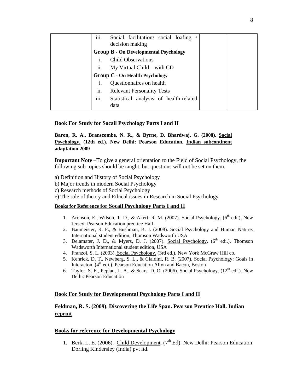| iii. | Social facilitation/ social loafing<br>decision making |  |
|------|--------------------------------------------------------|--|
|      | <b>Group B - On Developmental Psychology</b>           |  |
|      | <b>Child Observations</b>                              |  |
| ii.  | $My$ Virtual Child – with $CD$                         |  |
|      | <b>Group C - On Health Psychology</b>                  |  |
| i.   | Questionnaires on health                               |  |
| ii.  | <b>Relevant Personality Tests</b>                      |  |
| iii. | Statistical analysis of health-related<br>data         |  |

# **Book For Study for Socail Psychology Parts I and II**

**Baron, R. A., Branscombe, N. R., & Byrne, D. Bhardwaj, G. (2008). Social Psychology. (12th ed.). New Delhi: Pearson Education, Indian subcontinent adaptation 2009**

**Important Note** –To give a general orientation to the Field of Social Psychology, the following sub-topics should be taught, but questions will not be set on them.

- a) Definition and History of Social Psychology
- b) Major trends in modern Social Psychology
- c) Research methods of Social Psychology
- e) The role of theory and Ethical issues in Research in Social Psychology

#### **Books for Reference for Socail Psychology Parts I and II**

- 1. Aronson, E., Wilson, T. D., & Akert, R. M. (2007). Social Psychology. (6<sup>th</sup> edi.), New Jersey: Pearson Education prentice Hall
- 2. Baumeister, R. F., & Bushman, B. J. (2008). Social Psychology and Human Nature. International student edition, Thomson Wadsworth USA
- 3. Delamater, J. D., & Myers, D. J. (2007). Social Psychology.  $(6^{th}$  edi.), Thomson Wadsworth International student edition, USA
- 4. Franzoi, S. L. (2003). Social Psychology. (3rd ed.). New York McGraw Hill co.
- 5. Kenrick, D. T., Newberg, S. L., & Cialdini, R. B. (2007). Social Psychology: Goals in Interacton. (4<sup>th</sup> edi.). Pearson Education Allyn and Bacon, Boston
- 6. Taylor, S. E., Peplau, L. A., & Sears, D. O. (2006). Social Psychology.  $(12<sup>th</sup>$  edi.). New Delhi: Pearson Education

#### **Book For Study for Developmental Psychology Parts I and II**

# **Feldman, R. S. (2009). Discovering the Life Span. Pearson Prentice Hall. Indian reprint**

### **Books for reference for Developmental Psychology**

1. Berk, L. E. (2006). Child Development.  $(7<sup>th</sup> Ed)$ . New Delhi: Pearson Education Dorling Kindersley (India) pvt ltd.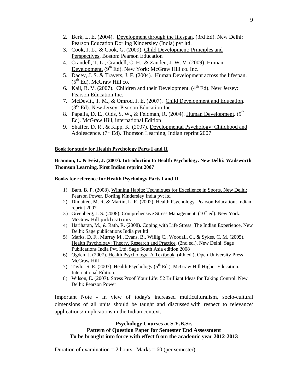- 2. Berk, L. E. (2004). Development through the lifespan. (3rd Ed). New Delhi: Pearson Education Dorling Kindersley (India) pvt ltd.
- 3. Cook, J. L., & Cook, G. (2009). Child Development: Principles and Perspectives. Boston: Pearson Education
- 4. Crandell, T. L., Crandell, C. H., & Zanden, J. W. V. (2009). Human Development.  $(9<sup>th</sup> Ed)$ . New York: McGraw Hill co. Inc.
- 5. Dacey, J. S. & Travers, J. F. (2004). Human Development across the lifespan.  $(5<sup>th</sup> Ed)$ . McGraw Hill co.
- 6. Kail, R. V. (2007). Children and their Development.  $(4<sup>th</sup> Ed)$ . New Jersey: Pearson Education Inc.
- 7. McDevitt, T. M., & Omrod, J. E. (2007). Child Development and Education.  $(3<sup>rd</sup> Ed)$ . New Jersey: Pearson Education Inc.
- 8. Papalia, D. E., Olds, S. W., & Feldman, R. (2004). Human Development. (9<sup>th</sup> Ed). McGraw Hill, international Edition
- 9. Shaffer, D. R., & Kipp, K. (2007). Developmental Psychology: Childhood and Adolescence.  $(7<sup>th</sup> Ed)$ . Thomson Learning, Indian reprint 2007

#### **Book for study for Health Psychology Parts I and II**

# **Brannon, L. & Feist, J. (2007). Introduction to Health Psychology. New Delhi: Wadsworth Thomson Learning. First Indian reprint 2007**

#### **Books for reference for Health Psychology Parts I and II**

- 1) Bam, B. P. (2008). Winning Habits: Techniques for Excellence in Sports. New Delhi: Pearson Power, Dorling Kindersley India pvt ltd
- 2) Dimatteo, M. R. & Martin, L. R. (2002). Health Psychology. Pearson Education; Indian reprint 2007
- 3) Greenberg, J. S. (2008). Comprehensive Stress Management.  $(10<sup>th</sup>$  ed). New York: McGraw Hill publications
- 4) Hariharan, M., & Rath, R. (2008). Coping with Life Stress: The Indian Experience. New Delhi: Sage publications India pvt ltd
- 5) Marks, D. F., Murray M., Evans, B., Willig C., Woodall, C., & Sykes, C. M. (2005). Health Psychology: Theory, Research and Practice. (2nd ed.), New Delhi, Sage Publications India Pvt. Ltd, Sage South Asia edition 2008
- 6) Ogden, J. (2007). Health Psychology: A Textbook. (4th ed.), Open University Press, McGraw Hill
- 7) Taylor S. E. (2003). Health Psychology ( $5<sup>th</sup>$  Ed ). McGraw Hill Higher Education. International Edition.
- 8) Wilson, E. (2007). Stress Proof Your Life: 52 Brilliant Ideas for Taking Control. New Delhi: Pearson Power

Important Note - In view of today's increased multiculturalism, socio-cultural dimensions of all units should be taught and discussed with respect to relevance/ applications/ implications in the Indian context.

### **Psychology Courses at S.Y.B.Sc. Pattern of Question Paper for Semester End Assessment To be brought into force with effect from the academic year 2012-2013**

Duration of examination  $= 2$  hours Marks  $= 60$  (per semester)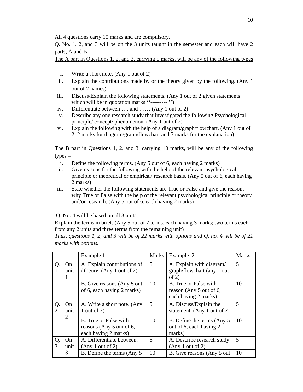All 4 questions carry 15 marks and are compulsory.

Q. No. 1, 2, and 3 will be on the 3 units taught in the semester and each will have 2 parts, A and B.

The A part in Questions 1, 2, and 3, carrying 5 marks, will be any of the following types

- - i. Write a short note. (Any 1 out of 2)
	- ii. Explain the contributions made by or the theory given by the following. (Any 1 out of 2 names)
- iii. Discuss/Explain the following statements. (Any 1 out of 2 given statements which will be in quotation marks "---------"
- iv. Differentiate between …. and …… (Any 1 out of 2)
- v. Describe any one research study that investigated the following Psychological principle/ concept/ phenomenon. (Any 1 out of 2)
- vi. Explain the following with the help of a diagram/graph/flowchart. (Any 1 out of 2; 2 marks for diagram/graph/flowchart and 3 marks for the explanation)

The B part in Questions 1, 2, and 3, carrying 10 marks, will be any of the following types –

- i. Define the following terms. (Any 5 out of 6, each having 2 marks)
- ii. Give reasons for the following with the help of the relevant psychological principle or theoretical or empirical/ research basis. (Any 5 out of 6, each having 2 marks)
- iii. State whether the following statements are True or False and give the reasons why True or False with the help of the relevant psychological principle or theory and/or research. (Any 5 out of 6, each having 2 marks)

Q. No. 4 will be based on all 3 units.

Explain the terms in brief. (Any 5 out of 7 terms, each having 3 marks; two terms each from any 2 units and three terms from the remaining unit)

*Thus, questions 1, 2, and 3 will be of 22 marks with options and Q. no. 4 will be of 21 marks with options.* 

|          |                 | Example 1                                                                 | <b>Marks</b> | Example 2                                                                       | <b>Marks</b> |
|----------|-----------------|---------------------------------------------------------------------------|--------------|---------------------------------------------------------------------------------|--------------|
| Q.<br>-1 | On<br>unit<br>- | A. Explain contributions of<br>/ theory. (Any 1 out of 2)                 | 5            | A. Explain with diagram/<br>graph/flowchart (any 1 out<br>of $2)$               | 5            |
|          |                 | B. Give reasons (Any 5 out)<br>of 6, each having 2 marks)                 | 10           | <b>B.</b> True or False with<br>reason (Any 5 out of 6,<br>each having 2 marks) | 10           |
| Q.<br>2  | On<br>unit      | A. Write a short note. (Any<br>1 out of 2)                                | 5            | A. Discuss/Explain the<br>statement. (Any 1 out of 2)                           | 5            |
|          | 2               | B. True or False with<br>reasons (Any 5 out of 6,<br>each having 2 marks) | 10           | B. Define the terms (Any 5)<br>out of 6, each having 2<br>marks)                | 10           |
| Q.<br>3  | On<br>unit      | A. Differentiate between.<br>(Any 1 out of 2)                             | 5            | A. Describe research study.<br>(Any 1 out of 2)                                 | 5            |
|          | 3               | B. Define the terms (Any 5)                                               | 10           | B. Give reasons (Any 5 out                                                      | 10           |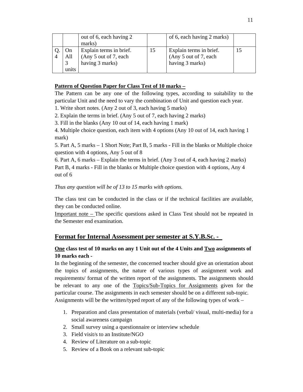|       | out of 6, each having 2 |    | of 6, each having 2 marks) |  |
|-------|-------------------------|----|----------------------------|--|
|       | marks)                  |    |                            |  |
| On    | Explain terms in brief. | 15 | Explain terms in brief.    |  |
| All   | (Any 5 out of 7, each   |    | (Any 5 out of 7, each      |  |
|       | having 3 marks)         |    | having 3 marks)            |  |
| units |                         |    |                            |  |

# **Pattern of Question Paper for Class Test of 10 marks –**

The Pattern can be any one of the following types, according to suitability to the particular Unit and the need to vary the combination of Unit and question each year.

1. Write short notes. (Any 2 out of 3, each having 5 marks)

2. Explain the terms in brief. (Any 5 out of 7, each having 2 marks)

3. Fill in the blanks (Any 10 out of 14, each having 1 mark)

4. Multiple choice question, each item with 4 options (Any 10 out of 14, each having 1 mark)

5. Part A, 5 marks – 1 Short Note; Part B, 5 marks - Fill in the blanks or Multiple choice question with 4 options, Any 5 out of 8

6. Part A, 6 marks – Explain the terms in brief. (Any 3 out of 4, each having 2 marks) Part B, 4 marks - Fill in the blanks or Multiple choice question with 4 options, Any 4 out of 6

*Thus any question will be of 13 to 15 marks with options.* 

The class test can be conducted in the class or if the technical facilities are available, they can be conducted online.

Important note – The specific questions asked in Class Test should not be repeated in the Semester end examination.

# **Format for Internal Assessment per semester at S.Y.B.Sc. -**

# **One class test of 10 marks on any 1 Unit out of the 4 Units and Two assignments of 10 marks each -**

In the beginning of the semester, the concerned teacher should give an orientation about the topics of assignments, the nature of various types of assignment work and requirements/ format of the written report of the assignments. The assignments should be relevant to any one of the Topics/Sub-Topics for Assignments given for the particular course. The assignments in each semester should be on a different sub-topic. Assignments will be the written/typed report of any of the following types of work –

- 1. Preparation and class presentation of materials (verbal/ visual, multi-media) for a social awareness campaign
- 2. Small survey using a questionnaire or interview schedule
- 3. Field visit/s to an Institute/NGO
- 4. Review of Literature on a sub-topic
- 5. Review of a Book on a relevant sub-topic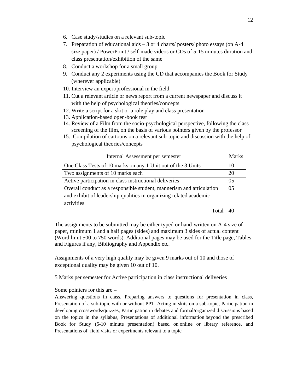- 6. Case study/studies on a relevant sub-topic
- 7. Preparation of educational aids 3 or 4 charts/ posters/ photo essays (on A-4 size paper) / PowerPoint / self-made videos or CDs of 5-15 minutes duration and class presentation/exhibition of the same
- 8. Conduct a workshop for a small group
- 9. Conduct any 2 experiments using the CD that accompanies the Book for Study (wherever applicable)
- 10. Interview an expert/professional in the field
- 11. Cut a relevant article or news report from a current newspaper and discuss it with the help of psychological theories/concepts
- 12. Write a script for a skit or a role play and class presentation
- 13. Application-based open-book test
- 14. Review of a Film from the socio-psychological perspective, following the class screening of the film, on the basis of various pointers given by the professor
- 15. Compilation of cartoons on a relevant sub-topic and discussion with the help of psychological theories/concepts

| Internal Assessment per semester                                     | Marks          |
|----------------------------------------------------------------------|----------------|
| One Class Tests of 10 marks on any 1 Unit out of the 3 Units         | 10             |
| Two assignments of 10 marks each                                     | 20             |
| Active participation in class instructional deliveries               | 0 <sub>5</sub> |
| Overall conduct as a responsible student, mannerism and articulation | 0 <sub>5</sub> |
| and exhibit of leadership qualities in organizing related academic   |                |
| activities                                                           |                |
|                                                                      |                |

The assignments to be submitted may be either typed or hand-written on A-4 size of paper, minimum 1 and a half pages (sides) and maximum 3 sides of actual content (Word limit 500 to 750 words). Additional pages may be used for the Title page, Tables and Figures if any, Bibliography and Appendix etc.

Assignments of a very high quality may be given 9 marks out of 10 and those of exceptional quality may be given 10 out of 10.

#### 5 Marks per semester for Active participation in class instructional deliveries

Some pointers for this are –

Answering questions in class, Preparing answers to questions for presentation in class, Presentation of a sub-topic with or without PPT, Acting in skits on a sub-topic, Participation in developing crosswords/quizzes, Participation in debates and formal/organized discussions based on the topics in the syllabus, Presentations of additional information beyond the prescribed Book for Study (5-10 minute presentation) based on online or library reference, and Presentations of field visits or experiments relevant to a topic